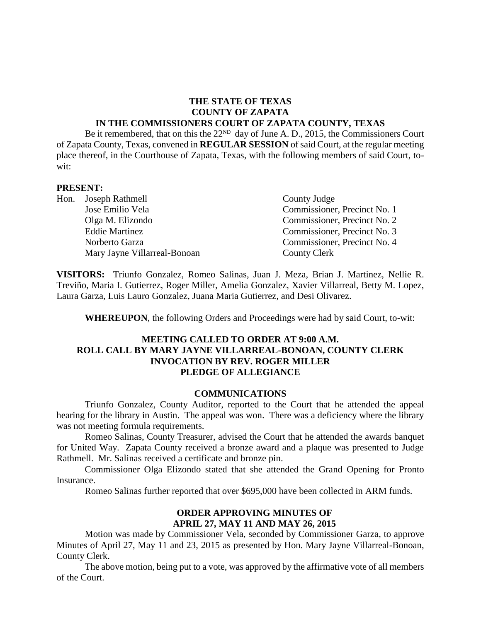#### **THE STATE OF TEXAS COUNTY OF ZAPATA IN THE COMMISSIONERS COURT OF ZAPATA COUNTY, TEXAS**

Be it remembered, that on this the  $22^{ND}$  day of June A. D., 2015, the Commissioners Court of Zapata County, Texas, convened in **REGULAR SESSION** of said Court, at the regular meeting place thereof, in the Courthouse of Zapata, Texas, with the following members of said Court, towit:

#### **PRESENT:**

| Hon. Joseph Rathmell         | County Judge                 |  |  |
|------------------------------|------------------------------|--|--|
| Jose Emilio Vela             | Commissioner, Precinct No. 1 |  |  |
| Olga M. Elizondo             | Commissioner, Precinct No. 2 |  |  |
| <b>Eddie Martinez</b>        | Commissioner, Precinct No. 3 |  |  |
| Norberto Garza               | Commissioner, Precinct No. 4 |  |  |
| Mary Jayne Villarreal-Bonoan | County Clerk                 |  |  |

**VISITORS:** Triunfo Gonzalez, Romeo Salinas, Juan J. Meza, Brian J. Martinez, Nellie R. Treviño, Maria I. Gutierrez, Roger Miller, Amelia Gonzalez, Xavier Villarreal, Betty M. Lopez, Laura Garza, Luis Lauro Gonzalez, Juana Maria Gutierrez, and Desi Olivarez.

**WHEREUPON**, the following Orders and Proceedings were had by said Court, to-wit:

### **MEETING CALLED TO ORDER AT 9:00 A.M. ROLL CALL BY MARY JAYNE VILLARREAL-BONOAN, COUNTY CLERK INVOCATION BY REV. ROGER MILLER PLEDGE OF ALLEGIANCE**

#### **COMMUNICATIONS**

Triunfo Gonzalez, County Auditor, reported to the Court that he attended the appeal hearing for the library in Austin. The appeal was won. There was a deficiency where the library was not meeting formula requirements.

Romeo Salinas, County Treasurer, advised the Court that he attended the awards banquet for United Way. Zapata County received a bronze award and a plaque was presented to Judge Rathmell. Mr. Salinas received a certificate and bronze pin.

Commissioner Olga Elizondo stated that she attended the Grand Opening for Pronto Insurance.

Romeo Salinas further reported that over \$695,000 have been collected in ARM funds.

### **ORDER APPROVING MINUTES OF APRIL 27, MAY 11 AND MAY 26, 2015**

Motion was made by Commissioner Vela, seconded by Commissioner Garza, to approve Minutes of April 27, May 11 and 23, 2015 as presented by Hon. Mary Jayne Villarreal-Bonoan, County Clerk.

The above motion, being put to a vote, was approved by the affirmative vote of all members of the Court.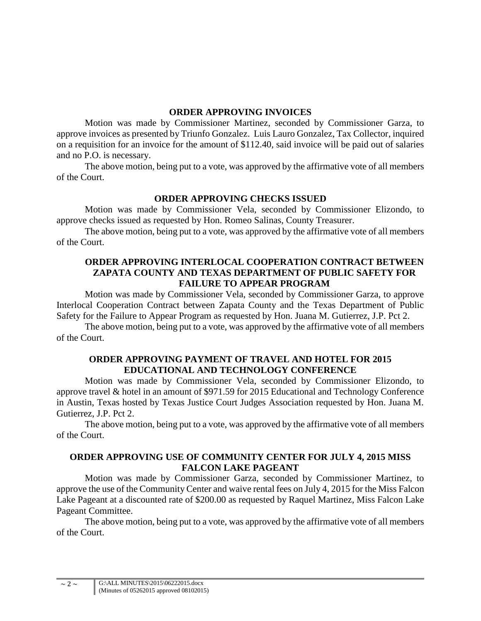### **ORDER APPROVING INVOICES**

Motion was made by Commissioner Martinez, seconded by Commissioner Garza, to approve invoices as presented by Triunfo Gonzalez. Luis Lauro Gonzalez, Tax Collector, inquired on a requisition for an invoice for the amount of \$112.40, said invoice will be paid out of salaries and no P.O. is necessary.

The above motion, being put to a vote, was approved by the affirmative vote of all members of the Court.

# **ORDER APPROVING CHECKS ISSUED**

Motion was made by Commissioner Vela, seconded by Commissioner Elizondo, to approve checks issued as requested by Hon. Romeo Salinas, County Treasurer.

The above motion, being put to a vote, was approved by the affirmative vote of all members of the Court.

### **ORDER APPROVING INTERLOCAL COOPERATION CONTRACT BETWEEN ZAPATA COUNTY AND TEXAS DEPARTMENT OF PUBLIC SAFETY FOR FAILURE TO APPEAR PROGRAM**

Motion was made by Commissioner Vela, seconded by Commissioner Garza, to approve Interlocal Cooperation Contract between Zapata County and the Texas Department of Public Safety for the Failure to Appear Program as requested by Hon. Juana M. Gutierrez, J.P. Pct 2.

The above motion, being put to a vote, was approved by the affirmative vote of all members of the Court.

### **ORDER APPROVING PAYMENT OF TRAVEL AND HOTEL FOR 2015 EDUCATIONAL AND TECHNOLOGY CONFERENCE**

Motion was made by Commissioner Vela, seconded by Commissioner Elizondo, to approve travel & hotel in an amount of \$971.59 for 2015 Educational and Technology Conference in Austin, Texas hosted by Texas Justice Court Judges Association requested by Hon. Juana M. Gutierrez, J.P. Pct 2.

The above motion, being put to a vote, was approved by the affirmative vote of all members of the Court.

# **ORDER APPROVING USE OF COMMUNITY CENTER FOR JULY 4, 2015 MISS FALCON LAKE PAGEANT**

Motion was made by Commissioner Garza, seconded by Commissioner Martinez, to approve the use of the Community Center and waive rental fees on July 4, 2015 for the Miss Falcon Lake Pageant at a discounted rate of \$200.00 as requested by Raquel Martinez, Miss Falcon Lake Pageant Committee.

The above motion, being put to a vote, was approved by the affirmative vote of all members of the Court.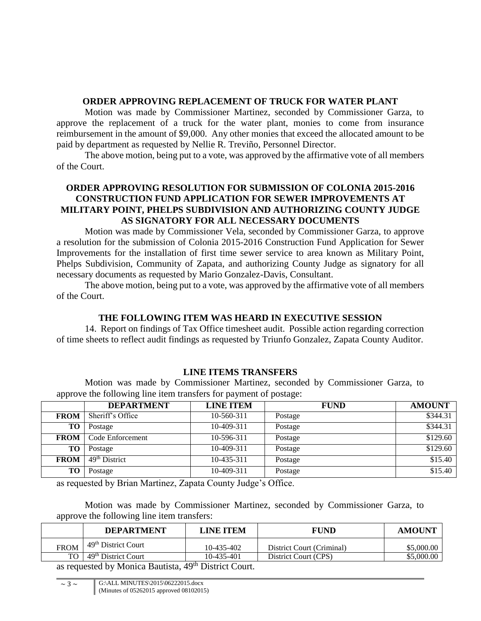# **ORDER APPROVING REPLACEMENT OF TRUCK FOR WATER PLANT**

Motion was made by Commissioner Martinez, seconded by Commissioner Garza, to approve the replacement of a truck for the water plant, monies to come from insurance reimbursement in the amount of \$9,000. Any other monies that exceed the allocated amount to be paid by department as requested by Nellie R. Treviño, Personnel Director.

The above motion, being put to a vote, was approved by the affirmative vote of all members of the Court.

# **ORDER APPROVING RESOLUTION FOR SUBMISSION OF COLONIA 2015-2016 CONSTRUCTION FUND APPLICATION FOR SEWER IMPROVEMENTS AT MILITARY POINT, PHELPS SUBDIVISION AND AUTHORIZING COUNTY JUDGE AS SIGNATORY FOR ALL NECESSARY DOCUMENTS**

Motion was made by Commissioner Vela, seconded by Commissioner Garza, to approve a resolution for the submission of Colonia 2015-2016 Construction Fund Application for Sewer Improvements for the installation of first time sewer service to area known as Military Point, Phelps Subdivision, Community of Zapata, and authorizing County Judge as signatory for all necessary documents as requested by Mario Gonzalez-Davis, Consultant.

The above motion, being put to a vote, was approved by the affirmative vote of all members of the Court.

# **THE FOLLOWING ITEM WAS HEARD IN EXECUTIVE SESSION**

14. Report on findings of Tax Office timesheet audit. Possible action regarding correction of time sheets to reflect audit findings as requested by Triunfo Gonzalez, Zapata County Auditor.

# **LINE ITEMS TRANSFERS**

Motion was made by Commissioner Martinez, seconded by Commissioner Garza, to approve the following line item transfers for payment of postage:

|             | <b>DEPARTMENT</b>         | <b>LINE ITEM</b> | <b>FUND</b> | <b>AMOUNT</b> |
|-------------|---------------------------|------------------|-------------|---------------|
| <b>FROM</b> | Sheriff's Office          | 10-560-311       | Postage     | \$344.31      |
| TO.         | Postage                   | 10-409-311       | Postage     | \$344.31      |
| <b>FROM</b> | Code Enforcement          | 10-596-311       | Postage     | \$129.60      |
| TO.         | Postage                   | 10-409-311       | Postage     | \$129.60      |
| <b>FROM</b> | 49 <sup>th</sup> District | 10-435-311       | Postage     | \$15.40       |
| <b>TO</b>   | Postage                   | 10-409-311       | Postage     | \$15.40       |

as requested by Brian Martinez, Zapata County Judge's Office.

Motion was made by Commissioner Martinez, seconded by Commissioner Garza, to approve the following line item transfers:

|             | <b>DEPARTMENT</b>               | <b>LINE ITEM</b> | <b>FUND</b>               | <b>AMOUNT</b> |
|-------------|---------------------------------|------------------|---------------------------|---------------|
| <b>FROM</b> | 49 <sup>th</sup> District Court | 10-435-402       | District Court (Criminal) | \$5,000.00    |
| TO 1        | $\frac{1}{49}$ District Court   | 10-435-401       | District Court (CPS)      | \$5,000.00    |

as requested by Monica Bautista, 49<sup>th</sup> District Court.